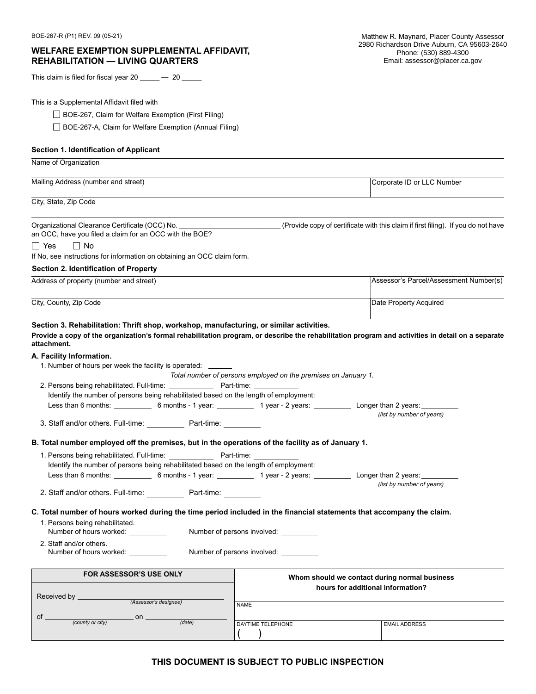## **WELFARE EXEMPTION SUPPLEMENTAL AFFIDAVIT, REHABILITATION — LIVING QUARTERS**

This claim is filed for fiscal year 20 \_\_\_\_\_ **—** 20 \_\_\_\_\_

This is a Supplemental Affidavit filed with

□ BOE-267, Claim for Welfare Exemption (First Filing)

□ BOE-267-A, Claim for Welfare Exemption (Annual Filing)

### **Section 1. Identification of Applicant**

| Name of Organization                                                                                                                                                                                                                                           |                                                                |                                                                                   |  |
|----------------------------------------------------------------------------------------------------------------------------------------------------------------------------------------------------------------------------------------------------------------|----------------------------------------------------------------|-----------------------------------------------------------------------------------|--|
| Mailing Address (number and street)                                                                                                                                                                                                                            |                                                                | Corporate ID or LLC Number                                                        |  |
| City, State, Zip Code                                                                                                                                                                                                                                          |                                                                |                                                                                   |  |
| Organizational Clearance Certificate (OCC) No.<br>an OCC, have you filed a claim for an OCC with the BOE?<br>$\Box$ Yes<br>$\Box$ No                                                                                                                           |                                                                | (Provide copy of certificate with this claim if first filing). If you do not have |  |
| If No, see instructions for information on obtaining an OCC claim form.                                                                                                                                                                                        |                                                                |                                                                                   |  |
| Section 2. Identification of Property                                                                                                                                                                                                                          |                                                                |                                                                                   |  |
| Address of property (number and street)                                                                                                                                                                                                                        |                                                                | Assessor's Parcel/Assessment Number(s)                                            |  |
| City, County, Zip Code                                                                                                                                                                                                                                         |                                                                | Date Property Acquired                                                            |  |
| Section 3. Rehabilitation: Thrift shop, workshop, manufacturing, or similar activities.<br>Provide a copy of the organization's formal rehabilitation program, or describe the rehabilitation program and activities in detail on a separate<br>attachment.    |                                                                |                                                                                   |  |
| A. Facility Information.<br>1. Number of hours per week the facility is operated: ______                                                                                                                                                                       | Total number of persons employed on the premises on January 1. |                                                                                   |  |
| Identify the number of persons being rehabilitated based on the length of employment:                                                                                                                                                                          |                                                                |                                                                                   |  |
| Less than 6 months: ______________ 6 months - 1 year: _____________ 1 year - 2 years: _____________ Longer than 2 years: _________                                                                                                                             |                                                                | (list by number of years)                                                         |  |
| 3. Staff and/or others. Full-time: _______________ Part-time: ___________                                                                                                                                                                                      |                                                                |                                                                                   |  |
| B. Total number employed off the premises, but in the operations of the facility as of January 1.                                                                                                                                                              |                                                                |                                                                                   |  |
|                                                                                                                                                                                                                                                                |                                                                |                                                                                   |  |
| Identify the number of persons being rehabilitated based on the length of employment:                                                                                                                                                                          |                                                                |                                                                                   |  |
| Less than 6 months: ______________6 months - 1 year: _____________1 year - 2 years: _______________ Longer than 2 years: _________                                                                                                                             |                                                                |                                                                                   |  |
| 2. Staff and/or others. Full-time: _____________ Part-time:                                                                                                                                                                                                    |                                                                | (list by number of years)                                                         |  |
| C. Total number of hours worked during the time period included in the financial statements that accompany the claim.<br>1. Persons being rehabilitated.<br>Number of hours worked: __________<br>2. Staff and/or others.<br>Number of hours worked: _________ | Number of persons involved:<br>Number of persons involved: _   |                                                                                   |  |
| FOR ASSESSOR'S USE ONLY                                                                                                                                                                                                                                        | Whom should we contact during normal business                  |                                                                                   |  |
| Received by _<br>(Assessor's designee)<br>of _                                                                                                                                                                                                                 | <b>NAME</b>                                                    | hours for additional information?                                                 |  |
| . on .<br>(county or city)<br>(data)                                                                                                                                                                                                                           | DAYTIME TELEPHONE                                              | <b>EMAIL ADDRESS</b>                                                              |  |

# **THIS DOCUMENT IS SUBJECT TO PUBLIC INSPECTION**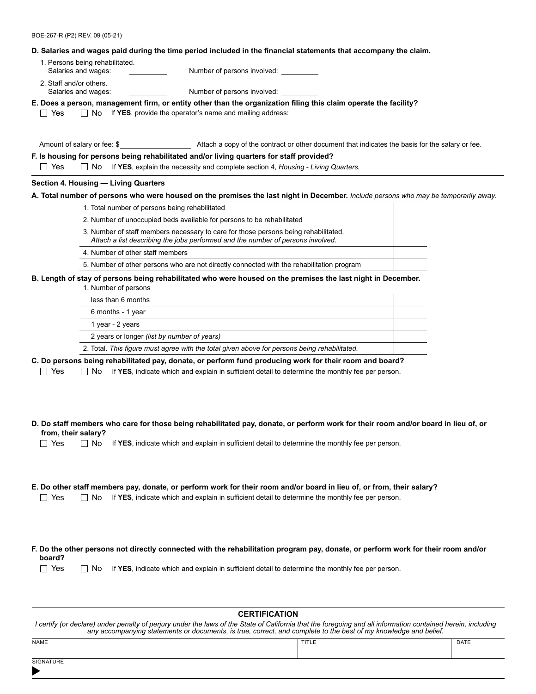BOE-267-R (P2) REV. 09 (05-21)

### **D. Salaries and wages paid during the time period included in the financial statements that accompany the claim.**

1. Persons being rehabilitated. Salaries and wages: Number of persons involved: 2. Staff and/or others.

Salaries and wages: Number of persons involved:

**E. Does a person, management firm, or entity other than the organization filing this claim operate the facility?**

 $\Box$  Yes  $\Box$  No If **YES**, provide the operator's name and mailing address:

Amount of salary or fee: \$

## **F. Is housing for persons being rehabilitated and/or living quarters for staff provided?**

Yes No If **YES**, explain the necessity and complete section 4, *Housing - Living Quarters.*

### **Section 4. Housing — Living Quarters**

### **A. Total number of persons who were housed on the premises the last night in December.** *Include persons who may be temporarily away.*

| 1. Total number of persons being rehabilitated                                                                                                                         |  |
|------------------------------------------------------------------------------------------------------------------------------------------------------------------------|--|
| 2. Number of unoccupied beds available for persons to be rehabilitated                                                                                                 |  |
| 3. Number of staff members necessary to care for those persons being rehabilitated.<br>Attach a list describing the jobs performed and the number of persons involved. |  |
| 4. Number of other staff members                                                                                                                                       |  |
| 5. Number of other persons who are not directly connected with the rehabilitation program                                                                              |  |

## **B. Length of stay of persons being rehabilitated who were housed on the premises the last night in December.**

| 1. Number of persons                                                                         |  |
|----------------------------------------------------------------------------------------------|--|
| less than 6 months                                                                           |  |
| 6 months - 1 year                                                                            |  |
| 1 year - 2 years                                                                             |  |
| 2 years or longer (list by number of years)                                                  |  |
| 2. Total. This figure must agree with the total given above for persons being rehabilitated. |  |

**C. Do persons being rehabilitated pay, donate, or perform fund producing work for their room and board?**

□ Yes □ No If YES, indicate which and explain in sufficient detail to determine the monthly fee per person.

|                     |  | D. Do staff members who care for those being rehabilitated pay, donate, or perform work for their room and/or board in lieu of, or |  |
|---------------------|--|------------------------------------------------------------------------------------------------------------------------------------|--|
| from, their salary? |  |                                                                                                                                    |  |

 $\Box$  Yes  $\Box$  No If YES, indicate which and explain in sufficient detail to determine the monthly fee per person.

### **E. Do other staff members pay, donate, or perform work for their room and/or board in lieu of, or from, their salary?**

 $\Box$  Yes  $\Box$  No If YES, indicate which and explain in sufficient detail to determine the monthly fee per person.

**F. Do the other persons not directly connected with the rehabilitation program pay, donate, or perform work for their room and/or board?**

 $\Box$  Yes  $\Box$  No If YES, indicate which and explain in sufficient detail to determine the monthly fee per person.

| <b>CERTIFICATION</b>                                                                                                                                                                                                                                                             |       |      |  |  |  |
|----------------------------------------------------------------------------------------------------------------------------------------------------------------------------------------------------------------------------------------------------------------------------------|-------|------|--|--|--|
| I certify (or declare) under penalty of perjury under the laws of the State of California that the foregoing and all information contained herein, including<br>any accompanying statements or documents, is true, correct, and complete to the best of my knowledge and belief. |       |      |  |  |  |
| NAME                                                                                                                                                                                                                                                                             | TITLE | DATE |  |  |  |
| SIGNATURE                                                                                                                                                                                                                                                                        |       |      |  |  |  |